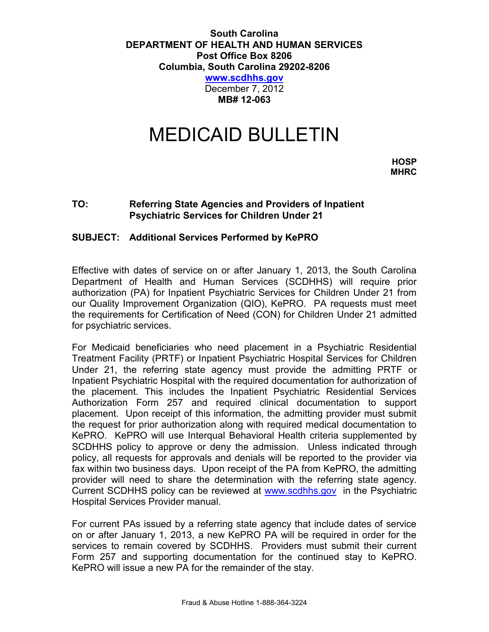## **South Carolina DEPARTMENT OF HEALTH AND HUMAN SERVICES Post Office Box 8206 Columbia, South Carolina 29202-8206 [www.scdhhs.gov](http://www.scdhhs.gov/)**

December 7, 2012 **MB# 12-063**

## MEDICAID BULLETIN

**HOSP MHRC**

## **TO: Referring State Agencies and Providers of Inpatient Psychiatric Services for Children Under 21**

## **SUBJECT: Additional Services Performed by KePRO**

Effective with dates of service on or after January 1, 2013, the South Carolina Department of Health and Human Services (SCDHHS) will require prior authorization (PA) for Inpatient Psychiatric Services for Children Under 21 from our Quality Improvement Organization (QIO), KePRO. PA requests must meet the requirements for Certification of Need (CON) for Children Under 21 admitted for psychiatric services.

For Medicaid beneficiaries who need placement in a Psychiatric Residential Treatment Facility (PRTF) or Inpatient Psychiatric Hospital Services for Children Under 21, the referring state agency must provide the admitting PRTF or Inpatient Psychiatric Hospital with the required documentation for authorization of the placement. This includes the Inpatient Psychiatric Residential Services Authorization Form 257 and required clinical documentation to support placement. Upon receipt of this information, the admitting provider must submit the request for prior authorization along with required medical documentation to KePRO. KePRO will use Interqual Behavioral Health criteria supplemented by SCDHHS policy to approve or deny the admission. Unless indicated through policy, all requests for approvals and denials will be reported to the provider via fax within two business days. Upon receipt of the PA from KePRO, the admitting provider will need to share the determination with the referring state agency. Current SCDHHS policy can be reviewed at [www.scdhhs.gov](http://www.scdhhs.gov/) in the Psychiatric Hospital Services Provider manual.

For current PAs issued by a referring state agency that include dates of service on or after January 1, 2013, a new KePRO PA will be required in order for the services to remain covered by SCDHHS. Providers must submit their current Form 257 and supporting documentation for the continued stay to KePRO. KePRO will issue a new PA for the remainder of the stay.